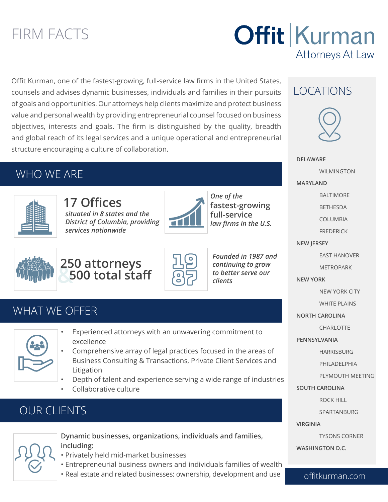# FIRM FACTS

# **Offit Kurman** Attorneys At Law

Offit Kurman, one of the fastest-growing, full-service law firms in the United States, counsels and advises dynamic businesses, individuals and families in their pursuits of goals and opportunities. Our attorneys help clients maximize and protect business value and personal wealth by providing entrepreneurial counsel focused on business objectives, interests and goals. The firm is distinguished by the quality, breadth and global reach of its legal services and a unique operational and entrepreneurial structure encouraging a culture of collaboration.

### WHO WE ARE



**17 Offices** *situated in 8 states and the District of Columbia, providing services nationwide*



*One of the*  **fastest-growing full-service**  *law firms in the U.S.*



**& 250 attorneys 500 total staff**



*Founded in 1987 and continuing to grow to better serve our clients*

### WHAT WF OFFFR



- Experienced attorneys with an unwavering commitment to excellence
- Comprehensive array of legal practices focused in the areas of Business Consulting & Transactions, Private Client Services and Litigation
- Depth of talent and experience serving a wide range of industries
- Collaborative culture

# OUR CLIENTS



**Dynamic businesses, organizations, individuals and families, including:** 

- Privately held mid-market businesses
- Entrepreneurial business owners and individuals families of wealth
- Real estate and related businesses: ownership, development and use

### LOCATIONS



**DELAWARE** WILMINGTON **MARYLAND** BALTIMORE BETHESDA COLUMBIA FREDERICK **NEW JERSEY** EAST HANOVER METROPARK **NEW YORK** NEW YORK CITY WHITE PLAINS **NORTH CAROLINA CHARLOTTE PENNSYLVANIA** HARRISBURG PHILADELPHIA PLYMOUTH MEETING **SOUTH CAROLINA** ROCK HILL SPARTANBURG **VIRGINIA** TYSONS CORNER

**WASHINGTON D.C.**